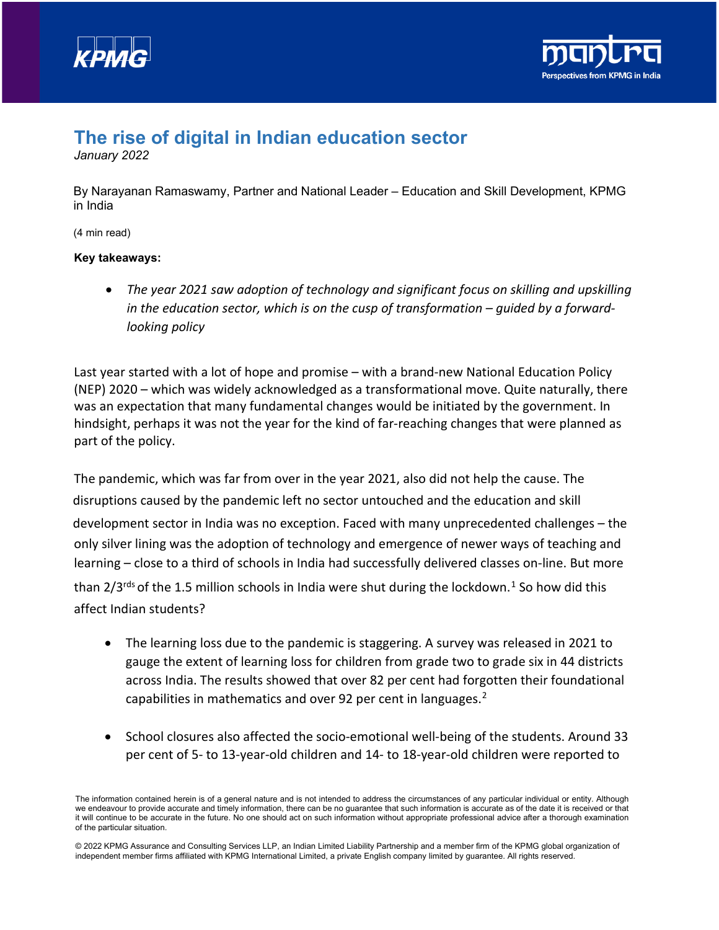



## **The rise of digital in Indian education sector**

*January 2022*

By Narayanan Ramaswamy, Partner and National Leader – Education and Skill Development, KPMG in India

(4 min read)

## **Key takeaways:**

• *The year 2021 saw adoption of technology and significant focus on skilling and upskilling in the education sector, which is on the cusp of transformation – guided by a forwardlooking policy*

Last year started with a lot of hope and promise – with a brand-new National Education Policy (NEP) 2020 – which was widely acknowledged as a transformational move. Quite naturally, there was an expectation that many fundamental changes would be initiated by the government. In hindsight, perhaps it was not the year for the kind of far-reaching changes that were planned as part of the policy.

The pandemic, which was far from over in the year 2021, also did not help the cause. The disruptions caused by the pandemic left no sector untouched and the education and skill development sector in India was no exception. Faced with many unprecedented challenges – the only silver lining was the adoption of technology and emergence of newer ways of teaching and learning – close to a third of schools in India had successfully delivered classes on-line. But more than  $2/3^{rds}$  of the [1](#page-3-0).5 million schools in India were shut during the lockdown.<sup>1</sup> So how did this

affect Indian students?

- The learning loss due to the pandemic is staggering. A survey was released in 2021 to gauge the extent of learning loss for children from grade two to grade six in 44 districts across India. The results showed that over 82 per cent had forgotten their foundational capabilities in mathematics and over 9[2](#page-3-1) per cent in languages.<sup>2</sup>
- School closures also affected the socio-emotional well-being of the students. Around 33 per cent of 5- to 13-year-old children and 14- to 18-year-old children were reported to

The information contained herein is of a general nature and is not intended to address the circumstances of any particular individual or entity. Although we endeavour to provide accurate and timely information, there can be no guarantee that such information is accurate as of the date it is received or that it will continue to be accurate in the future. No one should act on such information without appropriate professional advice after a thorough examination of the particular situation.

<sup>© 2022</sup> KPMG Assurance and Consulting Services LLP, an Indian Limited Liability Partnership and a member firm of the KPMG global organization of independent member firms affiliated with KPMG International Limited, a private English company limited by guarantee. All rights reserved.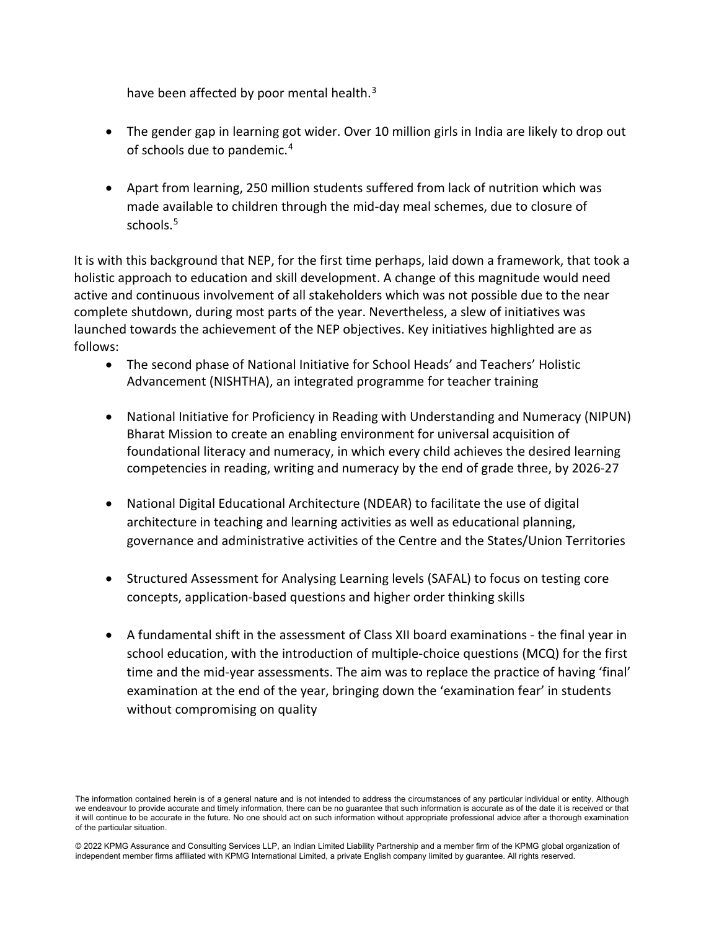have been affected by poor mental health.<sup>[3](#page-3-2)</sup>

- The gender gap in learning got wider. Over 10 million girls in India are likely to drop out of schools due to pandemic.<sup>[4](#page-3-3)</sup>
- Apart from learning, 250 million students suffered from lack of nutrition which was made available to children through the mid-day meal schemes, due to closure of schools. [5](#page-3-4)

It is with this background that NEP, for the first time perhaps, laid down a framework, that took a holistic approach to education and skill development. A change of this magnitude would need active and continuous involvement of all stakeholders which was not possible due to the near complete shutdown, during most parts of the year. Nevertheless, a slew of initiatives was launched towards the achievement of the NEP objectives. Key initiatives highlighted are as follows:

- The second phase of National Initiative for School Heads' and Teachers' Holistic Advancement (NISHTHA), an integrated programme for teacher training
- National Initiative for Proficiency in Reading with Understanding and Numeracy (NIPUN) Bharat Mission to create an enabling environment for universal acquisition of foundational literacy and numeracy, in which every child achieves the desired learning competencies in reading, writing and numeracy by the end of grade three, by 2026-27
- National Digital Educational Architecture (NDEAR) to facilitate the use of digital architecture in teaching and learning activities as well as educational planning, governance and administrative activities of the Centre and the States/Union Territories
- Structured Assessment for Analysing Learning levels (SAFAL) to focus on testing core concepts, application-based questions and higher order thinking skills
- A fundamental shift in the assessment of Class XII board examinations the final year in school education, with the introduction of multiple-choice questions (MCQ) for the first time and the mid-year assessments. The aim was to replace the practice of having 'final' examination at the end of the year, bringing down the 'examination fear' in students without compromising on quality

The information contained herein is of a general nature and is not intended to address the circumstances of any particular individual or entity. Although we endeavour to provide accurate and timely information, there can be no guarantee that such information is accurate as of the date it is received or that it will continue to be accurate in the future. No one should act on such information without appropriate professional advice after a thorough examination of the particular situation.

<sup>© 2022</sup> KPMG Assurance and Consulting Services LLP, an Indian Limited Liability Partnership and a member firm of the KPMG global organization of independent member firms affiliated with KPMG International Limited, a private English company limited by guarantee. All rights reserved.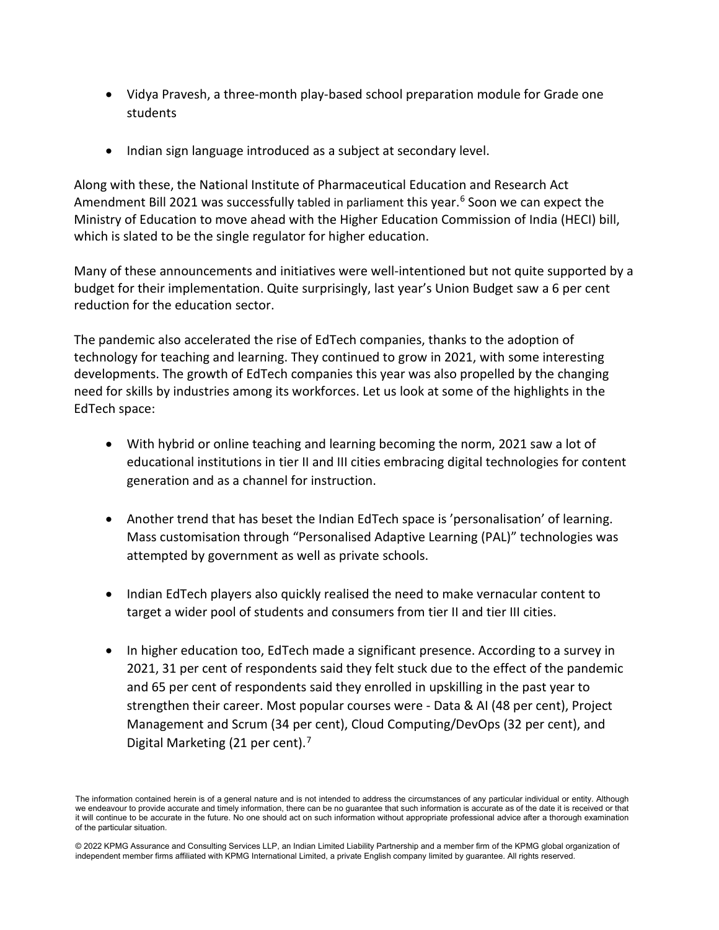- Vidya Pravesh, a three-month play-based school preparation module for Grade one students
- Indian sign language introduced as a subject at secondary level.

Along with these, the National Institute of Pharmaceutical Education and Research Act Amendment Bill 2021 was successfully tabled in parliament this year. [6](#page-3-5) Soon we can expect the Ministry of Education to move ahead with the Higher Education Commission of India (HECI) bill, which is slated to be the single regulator for higher education.

Many of these announcements and initiatives were well-intentioned but not quite supported by a budget for their implementation. Quite surprisingly, last year's Union Budget saw a 6 per cent reduction for the education sector.

The pandemic also accelerated the rise of EdTech companies, thanks to the adoption of technology for teaching and learning. They continued to grow in 2021, with some interesting developments. The growth of EdTech companies this year was also propelled by the changing need for skills by industries among its workforces. Let us look at some of the highlights in the EdTech space:

- With hybrid or online teaching and learning becoming the norm, 2021 saw a lot of educational institutions in tier II and III cities embracing digital technologies for content generation and as a channel for instruction.
- Another trend that has beset the Indian EdTech space is 'personalisation' of learning. Mass customisation through "Personalised Adaptive Learning (PAL)" technologies was attempted by government as well as private schools.
- Indian EdTech players also quickly realised the need to make vernacular content to target a wider pool of students and consumers from tier II and tier III cities.
- In higher education too, EdTech made a significant presence. According to a survey in 2021, 31 per cent of respondents said they felt stuck due to the effect of the pandemic and 65 per cent of respondents said they enrolled in upskilling in the past year to strengthen their career. Most popular courses were - Data & AI (48 per cent), Project Management and Scrum (34 per cent), Cloud Computing/DevOps (32 per cent), and Digital Marketing (21 per cent).<sup>[7](#page-3-6)</sup>

The information contained herein is of a general nature and is not intended to address the circumstances of any particular individual or entity. Although we endeavour to provide accurate and timely information, there can be no guarantee that such information is accurate as of the date it is received or that it will continue to be accurate in the future. No one should act on such information without appropriate professional advice after a thorough examination of the particular situation.

<sup>© 2022</sup> KPMG Assurance and Consulting Services LLP, an Indian Limited Liability Partnership and a member firm of the KPMG global organization of independent member firms affiliated with KPMG International Limited, a private English company limited by guarantee. All rights reserved.